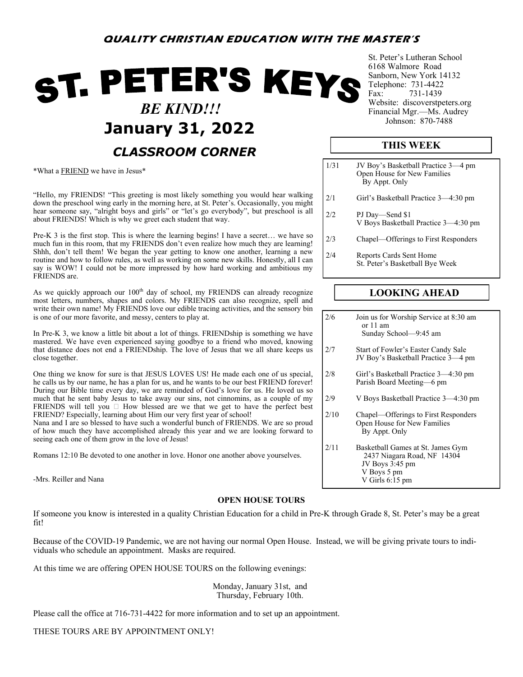# **QUALITY CHRISTIAN EDUCATION WITH THE MASTER'S**

# ST. PETER'S KEYS  *BE KIND!!!* **January 31, 2022** *Johnson: 870-7488 CLASSROOM CORNER*

\*What a FRIEND we have in Jesus\*

"Hello, my FRIENDS! "This greeting is most likely something you would hear walking down the preschool wing early in the morning here, at St. Peter's. Occasionally, you might hear someone say, "alright boys and girls" or "let's go everybody", but preschool is all about FRIENDS! Which is why we greet each student that way.

Pre-K 3 is the first stop. This is where the learning begins! I have a secret… we have so much fun in this room, that my FRIENDS don't even realize how much they are learning! Shhh, don't tell them! We began the year getting to know one another, learning a new routine and how to follow rules, as well as working on some new skills. Honestly, all I can say is WOW! I could not be more impressed by how hard working and ambitious my FRIENDS are.

As we quickly approach our  $100<sup>th</sup>$  day of school, my FRIENDS can already recognize most letters, numbers, shapes and colors. My FRIENDS can also recognize, spell and write their own name! My FRIENDS love our edible tracing activities, and the sensory bin is one of our more favorite, and messy, centers to play at.

In Pre-K 3, we know a little bit about a lot of things. FRIENDship is something we have mastered. We have even experienced saying goodbye to a friend who moved, knowing that distance does not end a FRIENDship. The love of Jesus that we all share keeps us close together.

One thing we know for sure is that JESUS LOVES US! He made each one of us special, he calls us by our name, he has a plan for us, and he wants to be our best FRIEND forever! During our Bible time every day, we are reminded of God's love for us. He loved us so much that he sent baby Jesus to take away our sins, not cinnomins, as a couple of my FRIENDS will tell you  $\Box$  How blessed are we that we get to have the perfect best FRIEND? Especially, learning about Him our very first year of school!

Nana and I are so blessed to have such a wonderful bunch of FRIENDS. We are so proud of how much they have accomplished already this year and we are looking forward to seeing each one of them grow in the love of Jesus!

Romans 12:10 Be devoted to one another in love. Honor one another above yourselves.

-Mrs. Reiller and Nana

### **OPEN HOUSE TOURS**

If someone you know is interested in a quality Christian Education for a child in Pre-K through Grade 8, St. Peter's may be a great fit!

Because of the COVID-19 Pandemic, we are not having our normal Open House. Instead, we will be giving private tours to individuals who schedule an appointment. Masks are required.

At this time we are offering OPEN HOUSE TOURS on the following evenings:

Monday, January 31st, and Thursday, February 10th.

Please call the office at 716-731-4422 for more information and to set up an appointment.

THESE TOURS ARE BY APPOINTMENT ONLY!

St. Peter's Lutheran School 6168 Walmore Road Sanborn, New York 14132 Telephone: 731-4422<br>Fax: 731-1439 731-1439 Website: discoverstpeters.org Financial Mgr.—Ms. Audrey

## **THIS WEEK**

| 1/31 | JV Boy's Basketball Practice 3—4 pm<br>Open House for New Families<br>By Appt. Only |
|------|-------------------------------------------------------------------------------------|
| 2/1  | Girl's Basketball Practice 3-4:30 pm                                                |
| 2/2  | PJ Day—Send \$1<br>V Boys Basketball Practice 3—4:30 pm                             |
| 2/3  | Chapel-Offerings to First Responders                                                |
| 2/4  | Reports Cards Sent Home<br>St. Peter's Basketball Bye Week                          |

## **LOOKING AHEAD**

| 2/6  | Join us for Worship Service at 8:30 am<br>or 11 am<br>Sunday School—9:45 am                                             |
|------|-------------------------------------------------------------------------------------------------------------------------|
| 2/7  | Start of Fowler's Easter Candy Sale<br>JV Boy's Basketball Practice 3-4 pm                                              |
| 2/8  | Girl's Basketball Practice 3—4:30 pm<br>Parish Board Meeting—6 pm                                                       |
| 2/9  | V Boys Basketball Practice 3—4:30 pm                                                                                    |
| 2/10 | Chapel—Offerings to First Responders<br>Open House for New Families<br>By Appt. Only                                    |
| 2/11 | Basketball Games at St. James Gym<br>2437 Niagara Road, NF 14304<br>JV Boys 3:45 pm<br>V Boys 5 pm<br>V Girls $6:15$ pm |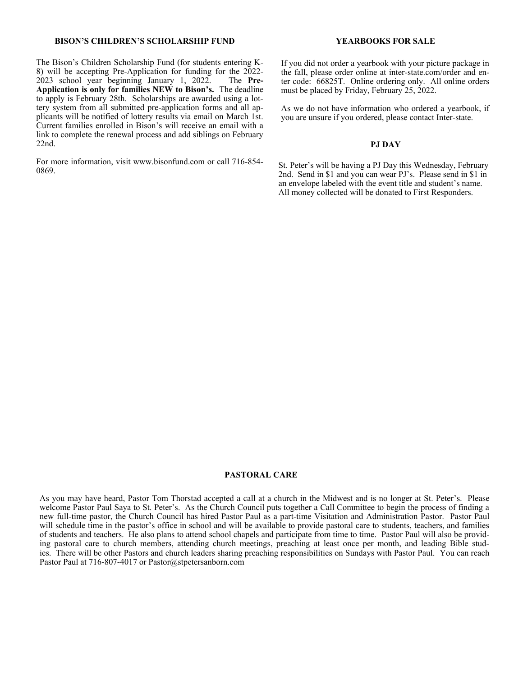#### **BISON'S CHILDREN'S SCHOLARSHIP FUND**

The Bison's Children Scholarship Fund (for students entering K-8) will be accepting Pre-Application for funding for the 2022-<br>2023 school year beginning January 1, 2022. The Pre-2023 school year beginning January 1, 2022. **Application is only for families NEW to Bison's.** The deadline to apply is February 28th. Scholarships are awarded using a lottery system from all submitted pre-application forms and all applicants will be notified of lottery results via email on March 1st. Current families enrolled in Bison's will receive an email with a link to complete the renewal process and add siblings on February 22nd.

For more information, visit www.bisonfund.com or call 716-854- 0869.

#### **YEARBOOKS FOR SALE**

If you did not order a yearbook with your picture package in the fall, please order online at inter-state.com/order and enter code: 66825T. Online ordering only. All online orders must be placed by Friday, February 25, 2022.

As we do not have information who ordered a yearbook, if you are unsure if you ordered, please contact Inter-state.

#### **PJ DAY**

St. Peter's will be having a PJ Day this Wednesday, February 2nd. Send in \$1 and you can wear PJ's. Please send in \$1 in an envelope labeled with the event title and student's name. All money collected will be donated to First Responders.

## **PASTORAL CARE**

As you may have heard, Pastor Tom Thorstad accepted a call at a church in the Midwest and is no longer at St. Peter's. Please welcome Pastor Paul Saya to St. Peter's. As the Church Council puts together a Call Committee to begin the process of finding a new full-time pastor, the Church Council has hired Pastor Paul as a part-time Visitation and Administration Pastor. Pastor Paul will schedule time in the pastor's office in school and will be available to provide pastoral care to students, teachers, and families of students and teachers. He also plans to attend school chapels and participate from time to time. Pastor Paul will also be providing pastoral care to church members, attending church meetings, preaching at least once per month, and leading Bible studies. There will be other Pastors and church leaders sharing preaching responsibilities on Sundays with Pastor Paul. You can reach Pastor Paul at 716-807-4017 or Pastor@stpetersanborn.com